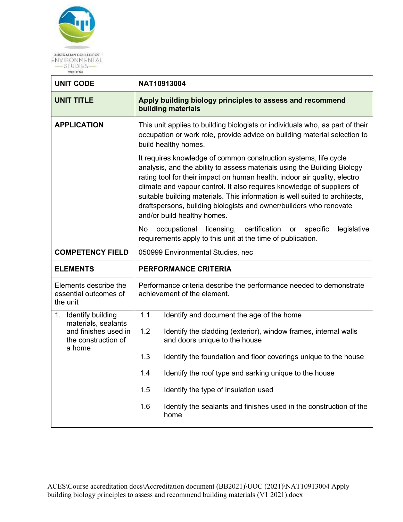

| <b>UNIT CODE</b>                                           | NAT10913004                                                                                                                                                                                                                                                                                                                                                                                                                                                                             |  |  |  |
|------------------------------------------------------------|-----------------------------------------------------------------------------------------------------------------------------------------------------------------------------------------------------------------------------------------------------------------------------------------------------------------------------------------------------------------------------------------------------------------------------------------------------------------------------------------|--|--|--|
| <b>UNIT TITLE</b>                                          | Apply building biology principles to assess and recommend<br>building materials                                                                                                                                                                                                                                                                                                                                                                                                         |  |  |  |
| <b>APPLICATION</b>                                         | This unit applies to building biologists or individuals who, as part of their<br>occupation or work role, provide advice on building material selection to<br>build healthy homes.                                                                                                                                                                                                                                                                                                      |  |  |  |
|                                                            | It requires knowledge of common construction systems, life cycle<br>analysis, and the ability to assess materials using the Building Biology<br>rating tool for their impact on human health, indoor air quality, electro<br>climate and vapour control. It also requires knowledge of suppliers of<br>suitable building materials. This information is well suited to architects,<br>draftspersons, building biologists and owner/builders who renovate<br>and/or build healthy homes. |  |  |  |
|                                                            | No<br>occupational licensing, certification<br>specific<br>legislative<br>or<br>requirements apply to this unit at the time of publication.                                                                                                                                                                                                                                                                                                                                             |  |  |  |
| <b>COMPETENCY FIELD</b>                                    | 050999 Environmental Studies, nec                                                                                                                                                                                                                                                                                                                                                                                                                                                       |  |  |  |
| <b>ELEMENTS</b>                                            | <b>PERFORMANCE CRITERIA</b>                                                                                                                                                                                                                                                                                                                                                                                                                                                             |  |  |  |
| Elements describe the<br>essential outcomes of<br>the unit | Performance criteria describe the performance needed to demonstrate<br>achievement of the element.                                                                                                                                                                                                                                                                                                                                                                                      |  |  |  |
| 1. Identify building<br>materials, sealants                | 1.1<br>Identify and document the age of the home                                                                                                                                                                                                                                                                                                                                                                                                                                        |  |  |  |
| and finishes used in<br>the construction of<br>a home      | 1.2<br>Identify the cladding (exterior), window frames, internal walls<br>and doors unique to the house                                                                                                                                                                                                                                                                                                                                                                                 |  |  |  |
|                                                            | 1.3<br>Identify the foundation and floor coverings unique to the house                                                                                                                                                                                                                                                                                                                                                                                                                  |  |  |  |
|                                                            | 1.4<br>Identify the roof type and sarking unique to the house                                                                                                                                                                                                                                                                                                                                                                                                                           |  |  |  |
|                                                            | Identify the type of insulation used<br>1.5                                                                                                                                                                                                                                                                                                                                                                                                                                             |  |  |  |
|                                                            | 1.6<br>Identify the sealants and finishes used in the construction of the<br>home                                                                                                                                                                                                                                                                                                                                                                                                       |  |  |  |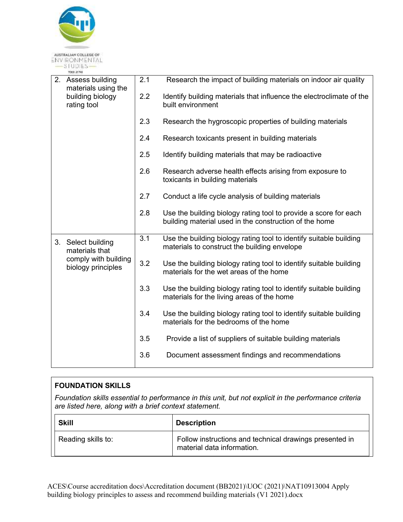

| 2. Assess building<br>materials using the  | 2.1 | Research the impact of building materials on indoor air quality                                                            |
|--------------------------------------------|-----|----------------------------------------------------------------------------------------------------------------------------|
| building biology<br>rating tool            | 2.2 | Identify building materials that influence the electroclimate of the<br>built environment                                  |
|                                            | 2.3 | Research the hygroscopic properties of building materials                                                                  |
|                                            | 2.4 | Research toxicants present in building materials                                                                           |
|                                            | 2.5 | Identify building materials that may be radioactive                                                                        |
|                                            | 2.6 | Research adverse health effects arising from exposure to<br>toxicants in building materials                                |
|                                            | 2.7 | Conduct a life cycle analysis of building materials                                                                        |
|                                            | 2.8 | Use the building biology rating tool to provide a score for each<br>building material used in the construction of the home |
| 3. Select building<br>materials that       | 3.1 | Use the building biology rating tool to identify suitable building<br>materials to construct the building envelope         |
| comply with building<br>biology principles | 3.2 | Use the building biology rating tool to identify suitable building<br>materials for the wet areas of the home              |
|                                            | 3.3 | Use the building biology rating tool to identify suitable building<br>materials for the living areas of the home           |
|                                            | 3.4 | Use the building biology rating tool to identify suitable building<br>materials for the bedrooms of the home               |
|                                            | 3.5 | Provide a list of suppliers of suitable building materials                                                                 |
|                                            | 3.6 | Document assessment findings and recommendations                                                                           |

|                                                                                                                                                                 | <b>FOUNDATION SKILLS</b> |                                                                                       |  |
|-----------------------------------------------------------------------------------------------------------------------------------------------------------------|--------------------------|---------------------------------------------------------------------------------------|--|
| Foundation skills essential to performance in this unit, but not explicit in the performance criteria<br>are listed here, along with a brief context statement. |                          |                                                                                       |  |
|                                                                                                                                                                 | <b>Skill</b>             | <b>Description</b>                                                                    |  |
|                                                                                                                                                                 | Reading skills to:       | Follow instructions and technical drawings presented in<br>material data information. |  |

ACES\Course accreditation docs\Accreditation document (BB2021)\UOC (2021)\NAT10913004 Apply building biology principles to assess and recommend building materials (V1 2021).docx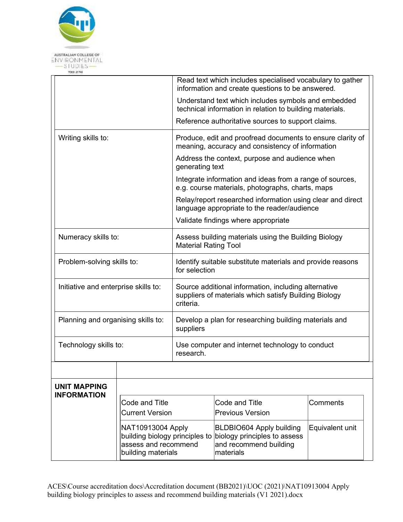

|  | TOID: 21 T45                                                                                                                                          |                                                                                                   |                                                                                                                            |                                                                                                                 |                 |  |
|--|-------------------------------------------------------------------------------------------------------------------------------------------------------|---------------------------------------------------------------------------------------------------|----------------------------------------------------------------------------------------------------------------------------|-----------------------------------------------------------------------------------------------------------------|-----------------|--|
|  |                                                                                                                                                       |                                                                                                   |                                                                                                                            | Read text which includes specialised vocabulary to gather<br>information and create questions to be answered.   |                 |  |
|  |                                                                                                                                                       |                                                                                                   |                                                                                                                            | Understand text which includes symbols and embedded<br>technical information in relation to building materials. |                 |  |
|  |                                                                                                                                                       |                                                                                                   |                                                                                                                            | Reference authoritative sources to support claims.                                                              |                 |  |
|  | Writing skills to:<br>Numeracy skills to:<br>Problem-solving skills to:<br>Initiative and enterprise skills to:<br>Planning and organising skills to: |                                                                                                   |                                                                                                                            | Produce, edit and proofread documents to ensure clarity of<br>meaning, accuracy and consistency of information  |                 |  |
|  |                                                                                                                                                       |                                                                                                   | Address the context, purpose and audience when<br>generating text                                                          |                                                                                                                 |                 |  |
|  |                                                                                                                                                       |                                                                                                   | Integrate information and ideas from a range of sources,<br>e.g. course materials, photographs, charts, maps               |                                                                                                                 |                 |  |
|  |                                                                                                                                                       |                                                                                                   | Relay/report researched information using clear and direct<br>language appropriate to the reader/audience                  |                                                                                                                 |                 |  |
|  |                                                                                                                                                       |                                                                                                   | Validate findings where appropriate                                                                                        |                                                                                                                 |                 |  |
|  |                                                                                                                                                       |                                                                                                   | Assess building materials using the Building Biology<br><b>Material Rating Tool</b>                                        |                                                                                                                 |                 |  |
|  |                                                                                                                                                       |                                                                                                   | Identify suitable substitute materials and provide reasons<br>for selection                                                |                                                                                                                 |                 |  |
|  |                                                                                                                                                       |                                                                                                   | Source additional information, including alternative<br>suppliers of materials which satisfy Building Biology<br>criteria. |                                                                                                                 |                 |  |
|  |                                                                                                                                                       |                                                                                                   | Develop a plan for researching building materials and<br>suppliers                                                         |                                                                                                                 |                 |  |
|  | Technology skills to:                                                                                                                                 |                                                                                                   | research.                                                                                                                  | Use computer and internet technology to conduct                                                                 |                 |  |
|  |                                                                                                                                                       |                                                                                                   |                                                                                                                            |                                                                                                                 |                 |  |
|  | <b>UNIT MAPPING</b>                                                                                                                                   |                                                                                                   |                                                                                                                            |                                                                                                                 |                 |  |
|  | <b>INFORMATION</b><br>Code and Title<br><b>Current Version</b>                                                                                        |                                                                                                   |                                                                                                                            | Code and Title<br><b>Previous Version</b>                                                                       | Comments        |  |
|  |                                                                                                                                                       | NAT10913004 Apply<br>building biology principles to<br>assess and recommend<br>building materials |                                                                                                                            | <b>BLDBIO604 Apply building</b><br>biology principles to assess<br>and recommend building<br>materials          | Equivalent unit |  |
|  |                                                                                                                                                       |                                                                                                   |                                                                                                                            |                                                                                                                 |                 |  |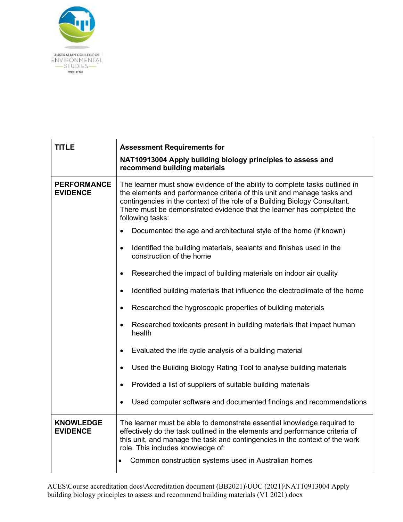

| <b>TITLE</b>                          | <b>Assessment Requirements for</b>                                                                                                                                                                                                                                                                                                 |  |  |
|---------------------------------------|------------------------------------------------------------------------------------------------------------------------------------------------------------------------------------------------------------------------------------------------------------------------------------------------------------------------------------|--|--|
|                                       | NAT10913004 Apply building biology principles to assess and<br>recommend building materials                                                                                                                                                                                                                                        |  |  |
| <b>PERFORMANCE</b><br><b>EVIDENCE</b> | The learner must show evidence of the ability to complete tasks outlined in<br>the elements and performance criteria of this unit and manage tasks and<br>contingencies in the context of the role of a Building Biology Consultant.<br>There must be demonstrated evidence that the learner has completed the<br>following tasks: |  |  |
|                                       | Documented the age and architectural style of the home (if known)<br>$\bullet$                                                                                                                                                                                                                                                     |  |  |
|                                       | Identified the building materials, sealants and finishes used in the<br>$\bullet$<br>construction of the home                                                                                                                                                                                                                      |  |  |
|                                       | Researched the impact of building materials on indoor air quality<br>$\bullet$                                                                                                                                                                                                                                                     |  |  |
|                                       | Identified building materials that influence the electroclimate of the home<br>$\bullet$                                                                                                                                                                                                                                           |  |  |
|                                       | Researched the hygroscopic properties of building materials<br>$\bullet$                                                                                                                                                                                                                                                           |  |  |
|                                       | Researched toxicants present in building materials that impact human<br>$\bullet$<br>health                                                                                                                                                                                                                                        |  |  |
|                                       | Evaluated the life cycle analysis of a building material<br>$\bullet$                                                                                                                                                                                                                                                              |  |  |
|                                       | Used the Building Biology Rating Tool to analyse building materials<br>$\bullet$                                                                                                                                                                                                                                                   |  |  |
|                                       | Provided a list of suppliers of suitable building materials<br>$\bullet$                                                                                                                                                                                                                                                           |  |  |
|                                       | Used computer software and documented findings and recommendations<br>$\bullet$                                                                                                                                                                                                                                                    |  |  |
| <b>KNOWLEDGE</b><br><b>EVIDENCE</b>   | The learner must be able to demonstrate essential knowledge required to<br>effectively do the task outlined in the elements and performance criteria of<br>this unit, and manage the task and contingencies in the context of the work<br>role. This includes knowledge of:                                                        |  |  |
|                                       | Common construction systems used in Australian homes                                                                                                                                                                                                                                                                               |  |  |

ACES\Course accreditation docs\Accreditation document (BB2021)\UOC (2021)\NAT10913004 Apply building biology principles to assess and recommend building materials (V1 2021).docx